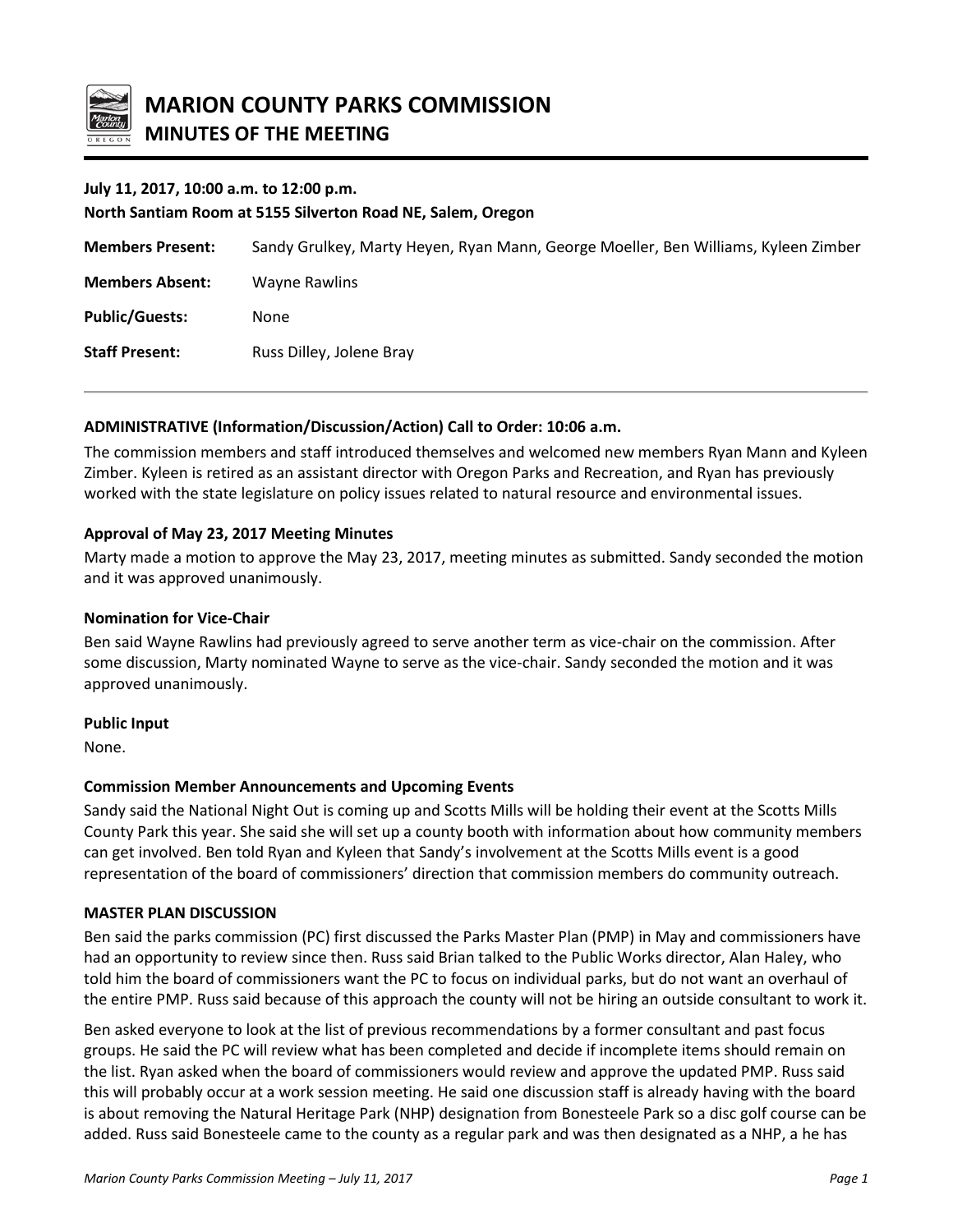

## **July 11, 2017, 10:00 a.m. to 12:00 p.m.**

#### **North Santiam Room at 5155 Silverton Road NE, Salem, Oregon**

| <b>Members Present:</b> | Sandy Grulkey, Marty Heyen, Ryan Mann, George Moeller, Ben Williams, Kyleen Zimber |
|-------------------------|------------------------------------------------------------------------------------|
| <b>Members Absent:</b>  | Wayne Rawlins                                                                      |
| <b>Public/Guests:</b>   | None                                                                               |
| <b>Staff Present:</b>   | Russ Dilley, Jolene Bray                                                           |

### **ADMINISTRATIVE (Information/Discussion/Action) Call to Order: 10:06 a.m.**

The commission members and staff introduced themselves and welcomed new members Ryan Mann and Kyleen Zimber. Kyleen is retired as an assistant director with Oregon Parks and Recreation, and Ryan has previously worked with the state legislature on policy issues related to natural resource and environmental issues.

## **Approval of May 23, 2017 Meeting Minutes**

Marty made a motion to approve the May 23, 2017, meeting minutes as submitted. Sandy seconded the motion and it was approved unanimously.

### **Nomination for Vice-Chair**

Ben said Wayne Rawlins had previously agreed to serve another term as vice-chair on the commission. After some discussion, Marty nominated Wayne to serve as the vice-chair. Sandy seconded the motion and it was approved unanimously.

### **Public Input**

None.

### **Commission Member Announcements and Upcoming Events**

Sandy said the National Night Out is coming up and Scotts Mills will be holding their event at the Scotts Mills County Park this year. She said she will set up a county booth with information about how community members can get involved. Ben told Ryan and Kyleen that Sandy's involvement at the Scotts Mills event is a good representation of the board of commissioners' direction that commission members do community outreach.

### **MASTER PLAN DISCUSSION**

Ben said the parks commission (PC) first discussed the Parks Master Plan (PMP) in May and commissioners have had an opportunity to review since then. Russ said Brian talked to the Public Works director, Alan Haley, who told him the board of commissioners want the PC to focus on individual parks, but do not want an overhaul of the entire PMP. Russ said because of this approach the county will not be hiring an outside consultant to work it.

Ben asked everyone to look at the list of previous recommendations by a former consultant and past focus groups. He said the PC will review what has been completed and decide if incomplete items should remain on the list. Ryan asked when the board of commissioners would review and approve the updated PMP. Russ said this will probably occur at a work session meeting. He said one discussion staff is already having with the board is about removing the Natural Heritage Park (NHP) designation from Bonesteele Park so a disc golf course can be added. Russ said Bonesteele came to the county as a regular park and was then designated as a NHP, a he has